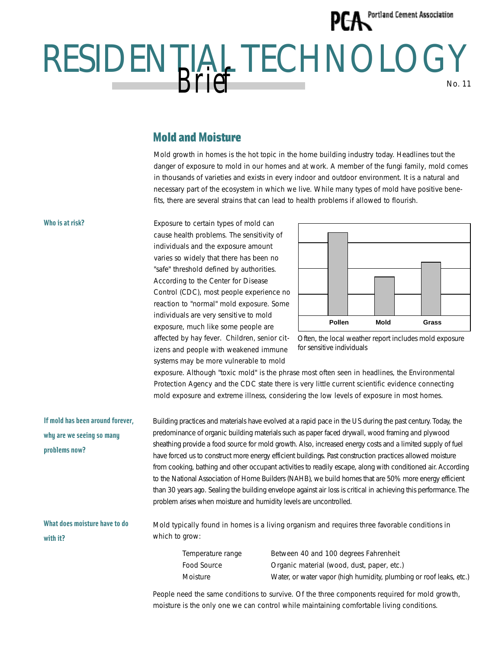## **PFA** Portland Cement Association

## RESIDENTIAL TECHNOLOGY No. 11 *Brief*

## Mold and Moisture

Mold growth in homes is the hot topic in the home building industry today. Headlines tout the danger of exposure to mold in our homes and at work. A member of the fungi family, mold comes in thousands of varieties and exists in every indoor and outdoor environment. It is a natural and necessary part of the ecosystem in which we live. While many types of mold have positive benefits, there are several strains that can lead to health problems if allowed to flourish.

Exposure to certain types of mold can cause health problems. The sensitivity of individuals and the exposure amount varies so widely that there has been no "safe" threshold defined by authorities. According to the Center for Disease Control (CDC), most people experience no reaction to "normal" mold exposure. Some individuals are very sensitive to mold exposure, much like some people are affected by hay fever. Children, senior citizens and people with weakened immune systems may be more vulnerable to mold





exposure. Although "toxic mold" is the phrase most often seen in headlines, the Environmental Protection Agency and the CDC state there is very little current scientific evidence connecting mold exposure and extreme illness, considering the low levels of exposure in most homes.

**If mold has been around forever, why are we seeing so many problems now?** Building practices and materials have evolved at a rapid pace in the US during the past century. Today, the predominance of organic building materials such as paper faced drywall, wood framing and plywood sheathing provide a food source for mold growth. Also, increased energy costs and a limited supply of fuel have forced us to construct more energy efficient buildings. Past construction practices allowed moisture from cooking, bathing and other occupant activities to readily escape, along with conditioned air. According to the National Association of Home Builders (NAHB), we build homes that are 50% more energy efficient than 30 years ago. Sealing the building envelope against air loss is critical in achieving this performance. The problem arises when moisture and humidity levels are uncontrolled.

**What does moisture have to do with it?**

Mold typically found in homes is a living organism and requires three favorable conditions in which to grow:

Temperature range Between 40 and 100 degrees Fahrenheit Food Source **Communist Containstance Containst Containst** Conductor Organic material (wood, dust, paper, etc.) Moisture Water, or water vapor (high humidity, plumbing or roof leaks, etc.)

People need the same conditions to survive. Of the three components required for mold growth, moisture is the only one we can control while maintaining comfortable living conditions.

## **Who is at risk?**